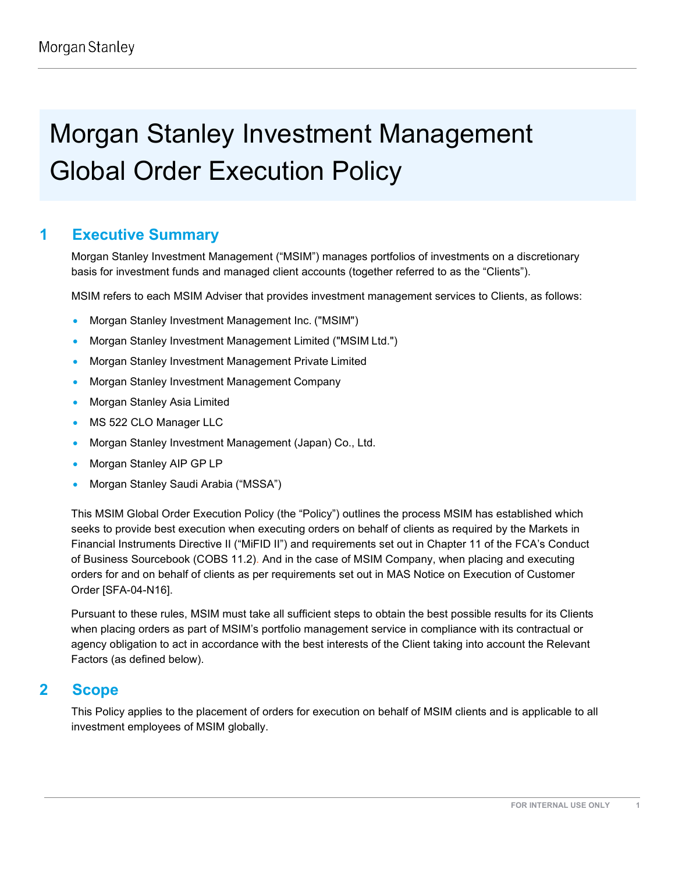# Morgan Stanley Investment Management Global Order Execution Policy

# **1 Executive Summary**

Morgan Stanley Investment Management ("MSIM") manages portfolios of investments on a discretionary basis for investment funds and managed client accounts (together referred to as the "Clients").

MSIM refers to each MSIM Adviser that provides investment management services to Clients, as follows:

- Morgan Stanley Investment Management Inc. ("MSIM")
- Morgan Stanley Investment Management Limited ("MSIM Ltd.")
- Morgan Stanley Investment Management Private Limited
- Morgan Stanley Investment Management Company
- Morgan Stanley Asia Limited
- MS 522 CLO Manager LLC
- Morgan Stanley Investment Management (Japan) Co., Ltd.
- Morgan Stanley AIP GP LP
- Morgan Stanley Saudi Arabia ("MSSA")

This MSIM Global Order Execution Policy (the "Policy") outlines the process MSIM has established which seeks to provide best execution when executing orders on behalf of clients as required by the Markets in Financial Instruments Directive II ("MiFID II") and requirements set out in Chapter 11 of the FCA's Conduct of Business Sourcebook (COBS 11.2). And in the case of MSIM Company, when placing and executing orders for and on behalf of clients as per requirements set out in MAS Notice on Execution of Customer Order [SFA-04-N16].

Pursuant to these rules, MSIM must take all sufficient steps to obtain the best possible results for its Clients when placing orders as part of MSIM's portfolio management service in compliance with its contractual or agency obligation to act in accordance with the best interests of the Client taking into account the Relevant Factors (as defined below).

# **2 Scope**

This Policy applies to the placement of orders for execution on behalf of MSIM clients and is applicable to all investment employees of MSIM globally.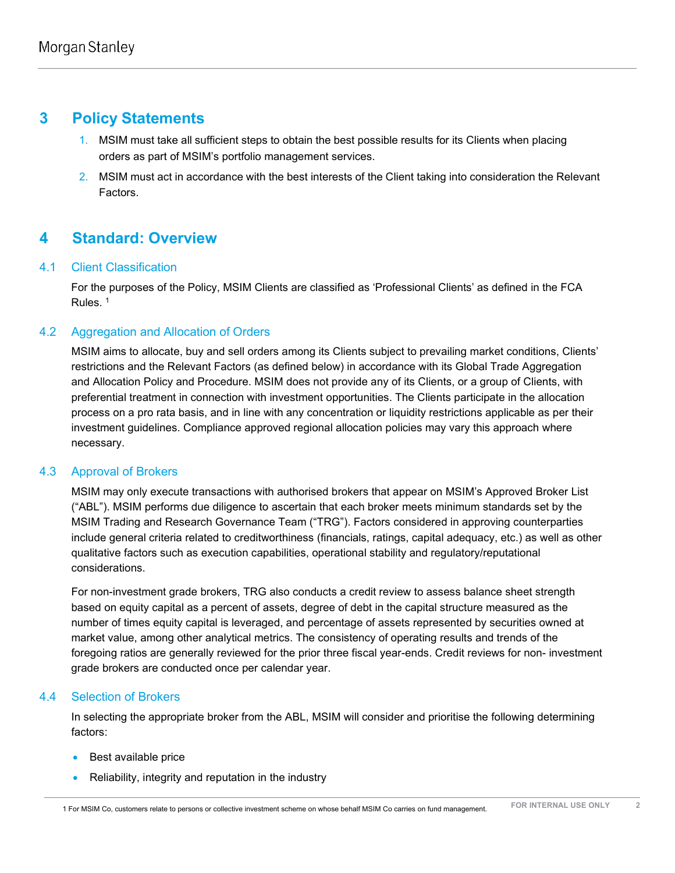# **3 Policy Statements**

- 1. MSIM must take all sufficient steps to obtain the best possible results for its Clients when placing orders as part of MSIM's portfolio management services.
- 2. MSIM must act in accordance with the best interests of the Client taking into consideration the Relevant Factors.

# **4 Standard: Overview**

# 4.1 Client Classification

For the purposes of the Policy, MSIM Clients are classified as 'Professional Clients' as defined in the FCA Rules. <sup>1</sup>

# 4.2 Aggregation and Allocation of Orders

MSIM aims to allocate, buy and sell orders among its Clients subject to prevailing market conditions, Clients' restrictions and the Relevant Factors (as defined below) in accordance with its Global Trade Aggregation and Allocation Policy and Procedure. MSIM does not provide any of its Clients, or a group of Clients, with preferential treatment in connection with investment opportunities. The Clients participate in the allocation process on a pro rata basis, and in line with any concentration or liquidity restrictions applicable as per their investment guidelines. Compliance approved regional allocation policies may vary this approach where necessary.

# 4.3 Approval of Brokers

MSIM may only execute transactions with authorised brokers that appear on MSIM's Approved Broker List ("ABL"). MSIM performs due diligence to ascertain that each broker meets minimum standards set by the MSIM Trading and Research Governance Team ("TRG"). Factors considered in approving counterparties include general criteria related to creditworthiness (financials, ratings, capital adequacy, etc.) as well as other qualitative factors such as execution capabilities, operational stability and regulatory/reputational considerations.

For non-investment grade brokers, TRG also conducts a credit review to assess balance sheet strength based on equity capital as a percent of assets, degree of debt in the capital structure measured as the number of times equity capital is leveraged, and percentage of assets represented by securities owned at market value, among other analytical metrics. The consistency of operating results and trends of the foregoing ratios are generally reviewed for the prior three fiscal year-ends. Credit reviews for non- investment grade brokers are conducted once per calendar year.

# 4.4 Selection of Brokers

In selecting the appropriate broker from the ABL, MSIM will consider and prioritise the following determining factors:

- Best available price
- Reliability, integrity and reputation in the industry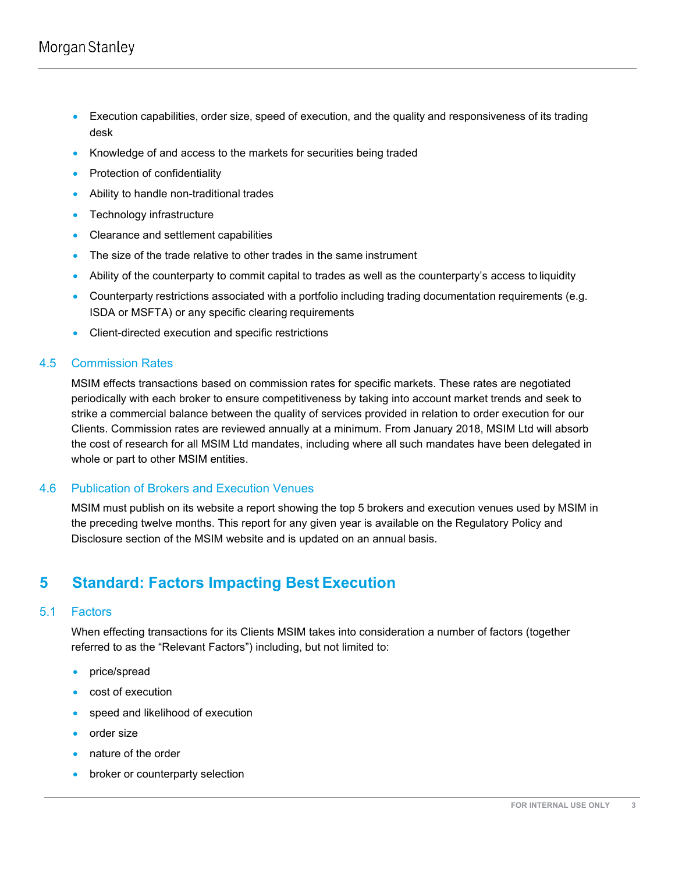- Execution capabilities, order size, speed of execution, and the quality and responsiveness of its trading desk
- Knowledge of and access to the markets for securities being traded
- Protection of confidentiality
- Ability to handle non-traditional trades
- Technology infrastructure
- Clearance and settlement capabilities
- The size of the trade relative to other trades in the same instrument
- Ability of the counterparty to commit capital to trades as well as the counterparty's access to liquidity
- Counterparty restrictions associated with a portfolio including trading documentation requirements (e.g. ISDA or MSFTA) or any specific clearing requirements
- Client-directed execution and specific restrictions

#### 4.5 Commission Rates

MSIM effects transactions based on commission rates for specific markets. These rates are negotiated periodically with each broker to ensure competitiveness by taking into account market trends and seek to strike a commercial balance between the quality of services provided in relation to order execution for our Clients. Commission rates are reviewed annually at a minimum. From January 2018, MSIM Ltd will absorb the cost of research for all MSIM Ltd mandates, including where all such mandates have been delegated in whole or part to other MSIM entities.

## 4.6 Publication of Brokers and Execution Venues

MSIM must publish on its website a report showing the top 5 brokers and execution venues used by MSIM in the preceding twelve months. This report for any given year is available on the Regulatory Policy and Disclosure section of the MSIM website and is updated on an annual basis.

# **5 Standard: Factors Impacting Best Execution**

## 5.1 Factors

When effecting transactions for its Clients MSIM takes into consideration a number of factors (together referred to as the "Relevant Factors") including, but not limited to:

- price/spread
- cost of execution
- speed and likelihood of execution
- order size
- nature of the order
- broker or counterparty selection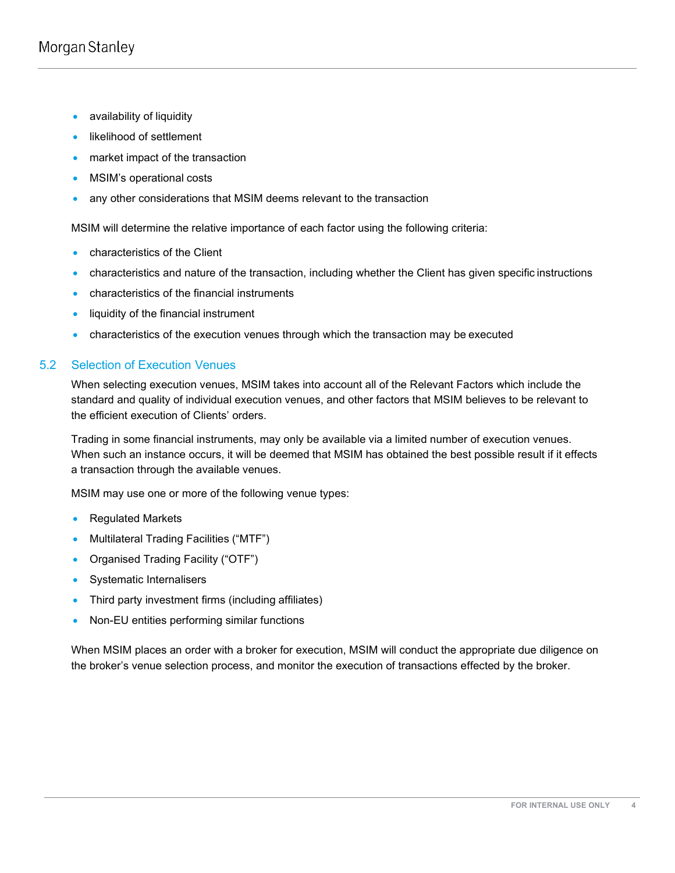- availability of liquidity
- likelihood of settlement
- market impact of the transaction
- MSIM's operational costs
- any other considerations that MSIM deems relevant to the transaction

MSIM will determine the relative importance of each factor using the following criteria:

- characteristics of the Client
- characteristics and nature of the transaction, including whether the Client has given specific instructions
- characteristics of the financial instruments
- liquidity of the financial instrument
- characteristics of the execution venues through which the transaction may be executed

# 5.2 Selection of Execution Venues

When selecting execution venues, MSIM takes into account all of the Relevant Factors which include the standard and quality of individual execution venues, and other factors that MSIM believes to be relevant to the efficient execution of Clients' orders.

Trading in some financial instruments, may only be available via a limited number of execution venues. When such an instance occurs, it will be deemed that MSIM has obtained the best possible result if it effects a transaction through the available venues.

MSIM may use one or more of the following venue types:

- Regulated Markets
- Multilateral Trading Facilities ("MTF")
- Organised Trading Facility ("OTF")
- Systematic Internalisers
- Third party investment firms (including affiliates)
- Non-EU entities performing similar functions

When MSIM places an order with a broker for execution, MSIM will conduct the appropriate due diligence on the broker's venue selection process, and monitor the execution of transactions effected by the broker.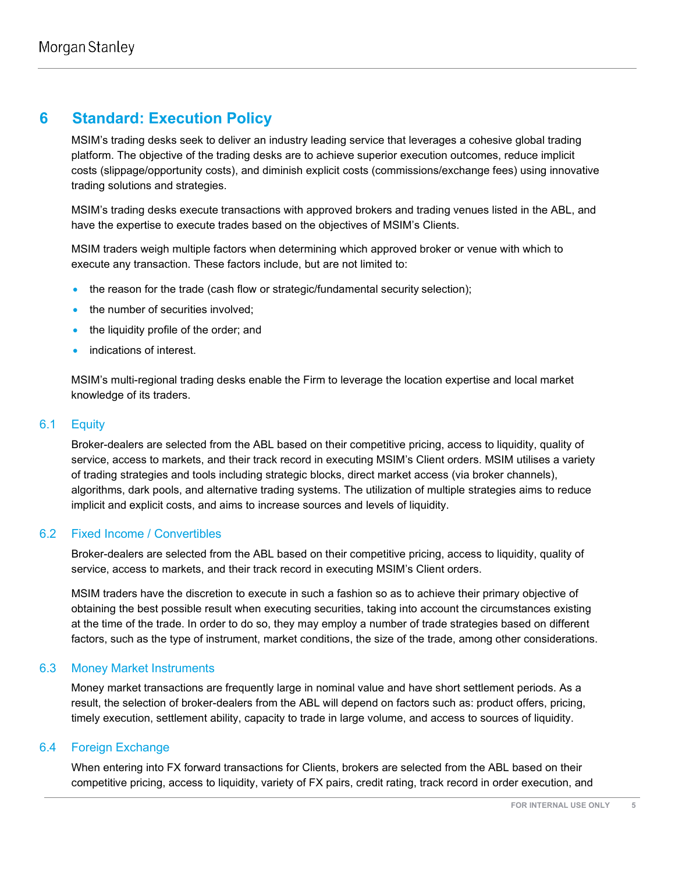# **6 Standard: Execution Policy**

MSIM's trading desks seek to deliver an industry leading service that leverages a cohesive global trading platform. The objective of the trading desks are to achieve superior execution outcomes, reduce implicit costs (slippage/opportunity costs), and diminish explicit costs (commissions/exchange fees) using innovative trading solutions and strategies.

MSIM's trading desks execute transactions with approved brokers and trading venues listed in the ABL, and have the expertise to execute trades based on the objectives of MSIM's Clients.

MSIM traders weigh multiple factors when determining which approved broker or venue with which to execute any transaction. These factors include, but are not limited to:

- the reason for the trade (cash flow or strategic/fundamental security selection);
- the number of securities involved;
- the liquidity profile of the order; and
- indications of interest.

MSIM's multi-regional trading desks enable the Firm to leverage the location expertise and local market knowledge of its traders.

## 6.1 Equity

Broker-dealers are selected from the ABL based on their competitive pricing, access to liquidity, quality of service, access to markets, and their track record in executing MSIM's Client orders. MSIM utilises a variety of trading strategies and tools including strategic blocks, direct market access (via broker channels), algorithms, dark pools, and alternative trading systems. The utilization of multiple strategies aims to reduce implicit and explicit costs, and aims to increase sources and levels of liquidity.

## 6.2 Fixed Income / Convertibles

Broker-dealers are selected from the ABL based on their competitive pricing, access to liquidity, quality of service, access to markets, and their track record in executing MSIM's Client orders.

MSIM traders have the discretion to execute in such a fashion so as to achieve their primary objective of obtaining the best possible result when executing securities, taking into account the circumstances existing at the time of the trade. In order to do so, they may employ a number of trade strategies based on different factors, such as the type of instrument, market conditions, the size of the trade, among other considerations.

## 6.3 Money Market Instruments

Money market transactions are frequently large in nominal value and have short settlement periods. As a result, the selection of broker-dealers from the ABL will depend on factors such as: product offers, pricing, timely execution, settlement ability, capacity to trade in large volume, and access to sources of liquidity.

## 6.4 Foreign Exchange

When entering into FX forward transactions for Clients, brokers are selected from the ABL based on their competitive pricing, access to liquidity, variety of FX pairs, credit rating, track record in order execution, and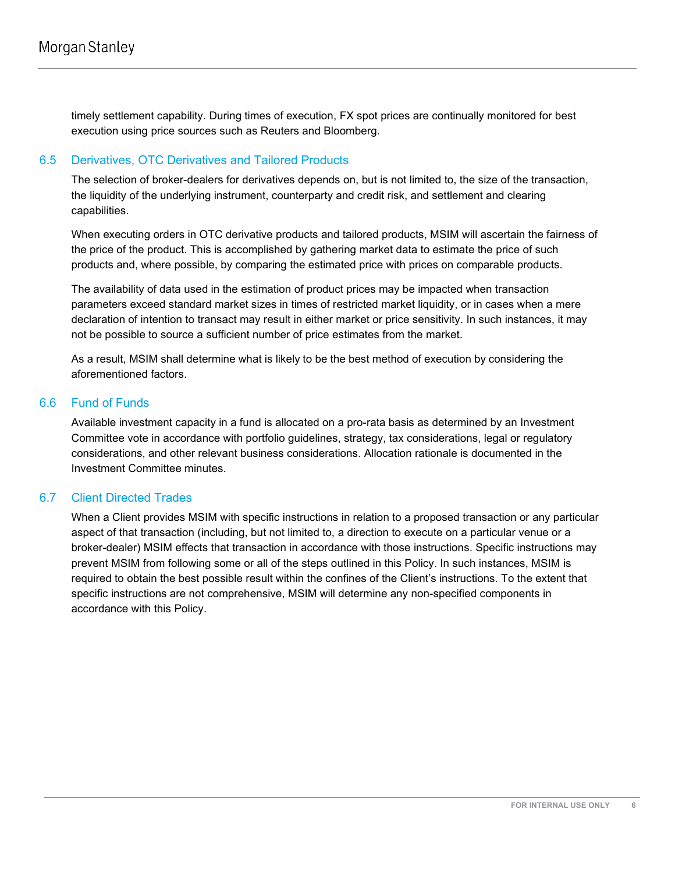timely settlement capability. During times of execution, FX spot prices are continually monitored for best execution using price sources such as Reuters and Bloomberg.

## 6.5 Derivatives, OTC Derivatives and Tailored Products

The selection of broker-dealers for derivatives depends on, but is not limited to, the size of the transaction, the liquidity of the underlying instrument, counterparty and credit risk, and settlement and clearing capabilities.

When executing orders in OTC derivative products and tailored products, MSIM will ascertain the fairness of the price of the product. This is accomplished by gathering market data to estimate the price of such products and, where possible, by comparing the estimated price with prices on comparable products.

The availability of data used in the estimation of product prices may be impacted when transaction parameters exceed standard market sizes in times of restricted market liquidity, or in cases when a mere declaration of intention to transact may result in either market or price sensitivity. In such instances, it may not be possible to source a sufficient number of price estimates from the market.

As a result, MSIM shall determine what is likely to be the best method of execution by considering the aforementioned factors.

## 6.6 Fund of Funds

Available investment capacity in a fund is allocated on a pro-rata basis as determined by an Investment Committee vote in accordance with portfolio guidelines, strategy, tax considerations, legal or regulatory considerations, and other relevant business considerations. Allocation rationale is documented in the Investment Committee minutes.

# 6.7 Client Directed Trades

When a Client provides MSIM with specific instructions in relation to a proposed transaction or any particular aspect of that transaction (including, but not limited to, a direction to execute on a particular venue or a broker-dealer) MSIM effects that transaction in accordance with those instructions. Specific instructions may prevent MSIM from following some or all of the steps outlined in this Policy. In such instances, MSIM is required to obtain the best possible result within the confines of the Client's instructions. To the extent that specific instructions are not comprehensive, MSIM will determine any non-specified components in accordance with this Policy.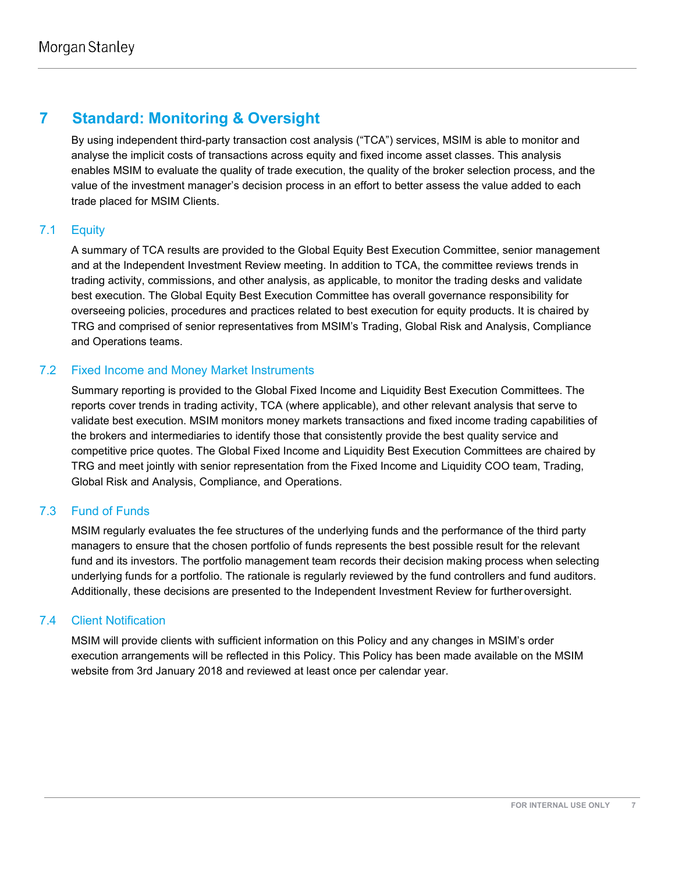# **7 Standard: Monitoring & Oversight**

By using independent third-party transaction cost analysis ("TCA") services, MSIM is able to monitor and analyse the implicit costs of transactions across equity and fixed income asset classes. This analysis enables MSIM to evaluate the quality of trade execution, the quality of the broker selection process, and the value of the investment manager's decision process in an effort to better assess the value added to each trade placed for MSIM Clients.

# 7.1 Equity

A summary of TCA results are provided to the Global Equity Best Execution Committee, senior management and at the Independent Investment Review meeting. In addition to TCA, the committee reviews trends in trading activity, commissions, and other analysis, as applicable, to monitor the trading desks and validate best execution. The Global Equity Best Execution Committee has overall governance responsibility for overseeing policies, procedures and practices related to best execution for equity products. It is chaired by TRG and comprised of senior representatives from MSIM's Trading, Global Risk and Analysis, Compliance and Operations teams.

# 7.2 Fixed Income and Money Market Instruments

Summary reporting is provided to the Global Fixed Income and Liquidity Best Execution Committees. The reports cover trends in trading activity, TCA (where applicable), and other relevant analysis that serve to validate best execution. MSIM monitors money markets transactions and fixed income trading capabilities of the brokers and intermediaries to identify those that consistently provide the best quality service and competitive price quotes. The Global Fixed Income and Liquidity Best Execution Committees are chaired by TRG and meet jointly with senior representation from the Fixed Income and Liquidity COO team, Trading, Global Risk and Analysis, Compliance, and Operations.

# 7.3 Fund of Funds

MSIM regularly evaluates the fee structures of the underlying funds and the performance of the third party managers to ensure that the chosen portfolio of funds represents the best possible result for the relevant fund and its investors. The portfolio management team records their decision making process when selecting underlying funds for a portfolio. The rationale is regularly reviewed by the fund controllers and fund auditors. Additionally, these decisions are presented to the Independent Investment Review for further oversight.

# 7.4 Client Notification

MSIM will provide clients with sufficient information on this Policy and any changes in MSIM's order execution arrangements will be reflected in this Policy. This Policy has been made available on the MSIM website from 3rd January 2018 and reviewed at least once per calendar year.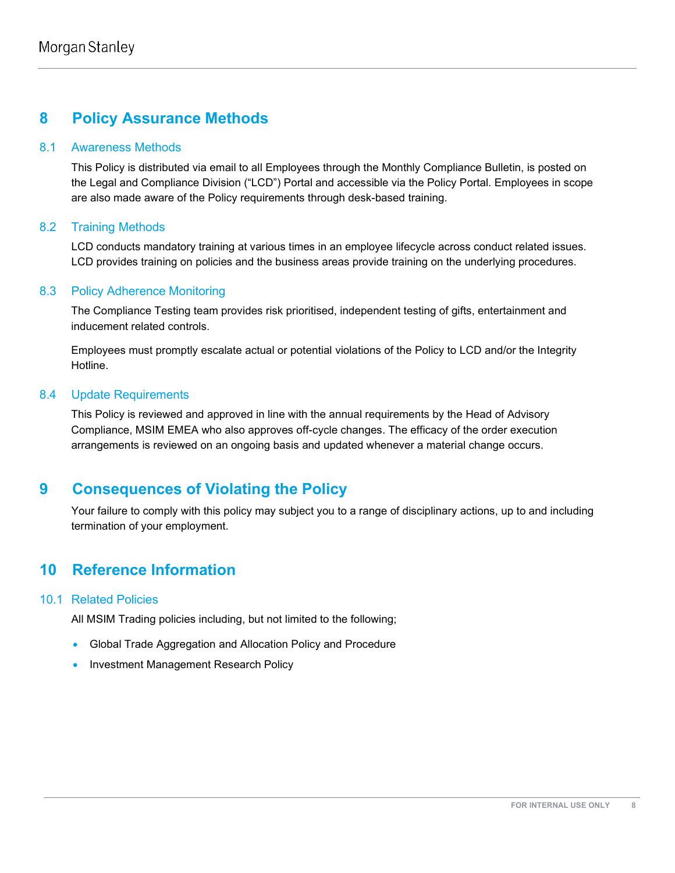# **8 Policy Assurance Methods**

## 8.1 Awareness Methods

This Policy is distributed via email to all Employees through the Monthly Compliance Bulletin, is posted on the Legal and Compliance Division ("LCD") Portal and accessible via the Policy Portal. Employees in scope are also made aware of the Policy requirements through desk-based training.

## 8.2 Training Methods

LCD conducts mandatory training at various times in an employee lifecycle across conduct related issues. LCD provides training on policies and the business areas provide training on the underlying procedures.

## 8.3 Policy Adherence Monitoring

The Compliance Testing team provides risk prioritised, independent testing of gifts, entertainment and inducement related controls.

Employees must promptly escalate actual or potential violations of the Policy to LCD and/or the Integrity Hotline.

## 8.4 Update Requirements

This Policy is reviewed and approved in line with the annual requirements by the Head of Advisory Compliance, MSIM EMEA who also approves off-cycle changes. The efficacy of the order execution arrangements is reviewed on an ongoing basis and updated whenever a material change occurs.

# **9 Consequences of Violating the Policy**

Your failure to comply with this policy may subject you to a range of disciplinary actions, up to and including termination of your employment.

# **10 Reference Information**

# 10.1 Related Policies

All MSIM Trading policies including, but not limited to the following;

- Global Trade Aggregation and Allocation Policy and Procedure
- Investment Management Research Policy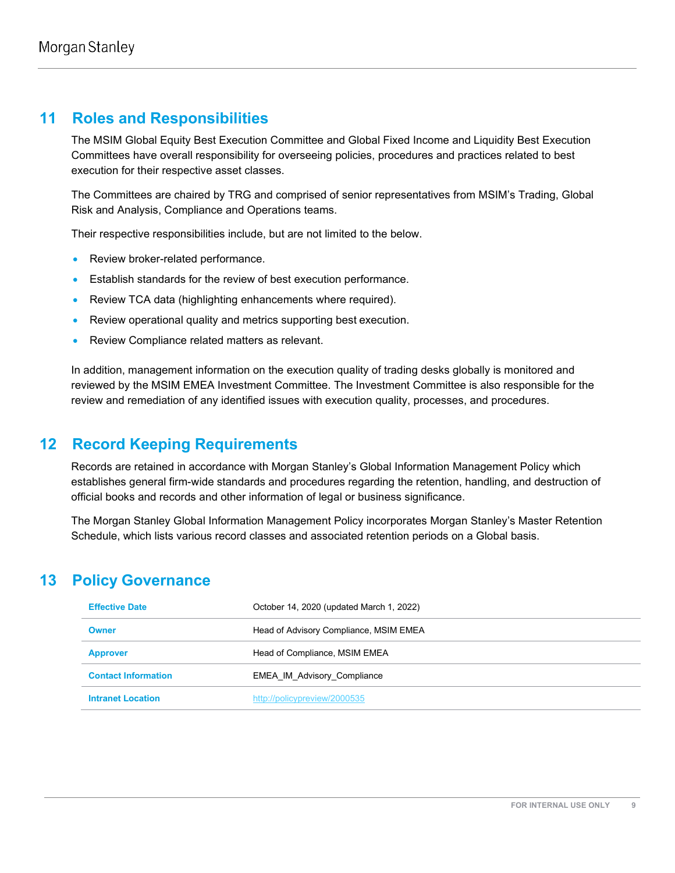# **11 Roles and Responsibilities**

The MSIM Global Equity Best Execution Committee and Global Fixed Income and Liquidity Best Execution Committees have overall responsibility for overseeing policies, procedures and practices related to best execution for their respective asset classes.

The Committees are chaired by TRG and comprised of senior representatives from MSIM's Trading, Global Risk and Analysis, Compliance and Operations teams.

Their respective responsibilities include, but are not limited to the below.

- Review broker-related performance.
- Establish standards for the review of best execution performance.
- Review TCA data (highlighting enhancements where required).
- Review operational quality and metrics supporting best execution.
- Review Compliance related matters as relevant.

In addition, management information on the execution quality of trading desks globally is monitored and reviewed by the MSIM EMEA Investment Committee. The Investment Committee is also responsible for the review and remediation of any identified issues with execution quality, processes, and procedures.

# **12 Record Keeping Requirements**

Records are retained in accordance with Morgan Stanley's Global Information Management Policy which establishes general firm-wide standards and procedures regarding the retention, handling, and destruction of official books and records and other information of legal or business significance.

The Morgan Stanley Global Information Management Policy incorporates Morgan Stanley's Master Retention Schedule, which lists various record classes and associated retention periods on a Global basis.

# **13 Policy Governance**

| <b>Effective Date</b>      | October 14, 2020 (updated March 1, 2022) |
|----------------------------|------------------------------------------|
| <b>Owner</b>               | Head of Advisory Compliance, MSIM EMEA   |
| <b>Approver</b>            | Head of Compliance, MSIM EMEA            |
| <b>Contact Information</b> | <b>EMEA IM Advisory Compliance</b>       |
| <b>Intranet Location</b>   | http://policypreview/2000535             |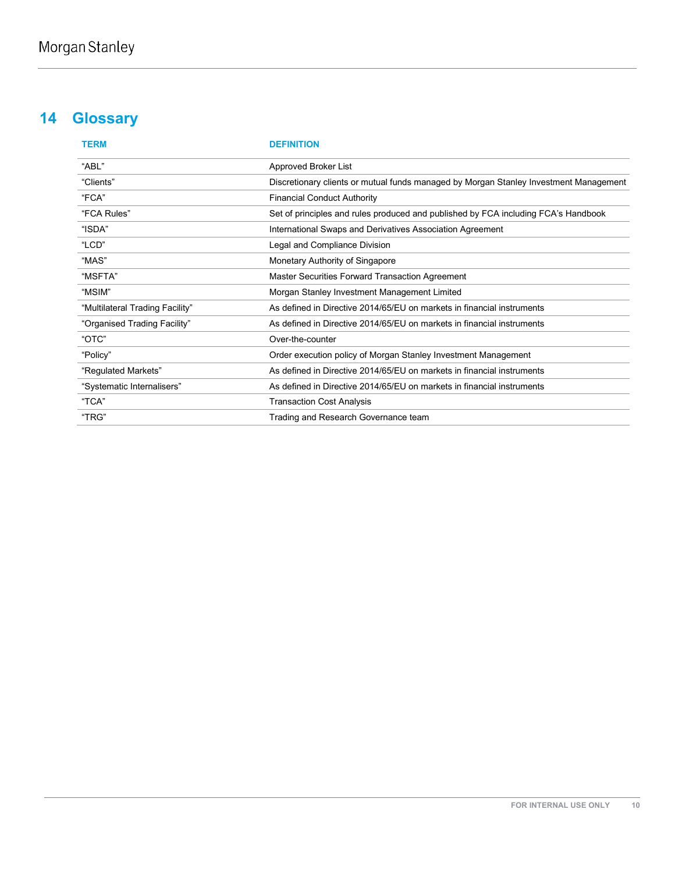# **14 Glossary**

| <b>TERM</b>                     | <b>DEFINITION</b>                                                                     |
|---------------------------------|---------------------------------------------------------------------------------------|
| "ABL"                           | Approved Broker List                                                                  |
| "Clients"                       | Discretionary clients or mutual funds managed by Morgan Stanley Investment Management |
| "FCA"                           | <b>Financial Conduct Authority</b>                                                    |
| "FCA Rules"                     | Set of principles and rules produced and published by FCA including FCA's Handbook    |
| "ISDA"                          | International Swaps and Derivatives Association Agreement                             |
| "LCD"                           | Legal and Compliance Division                                                         |
| "MAS"                           | Monetary Authority of Singapore                                                       |
| "MSFTA"                         | Master Securities Forward Transaction Agreement                                       |
| "MSIM"                          | Morgan Stanley Investment Management Limited                                          |
| "Multilateral Trading Facility" | As defined in Directive 2014/65/EU on markets in financial instruments                |
| "Organised Trading Facility"    | As defined in Directive 2014/65/EU on markets in financial instruments                |
| "OTC"                           | Over-the-counter                                                                      |
| "Policy"                        | Order execution policy of Morgan Stanley Investment Management                        |
| "Regulated Markets"             | As defined in Directive 2014/65/EU on markets in financial instruments                |
| "Systematic Internalisers"      | As defined in Directive 2014/65/EU on markets in financial instruments                |
| "TCA"                           | <b>Transaction Cost Analysis</b>                                                      |
| "TRG"                           | Trading and Research Governance team                                                  |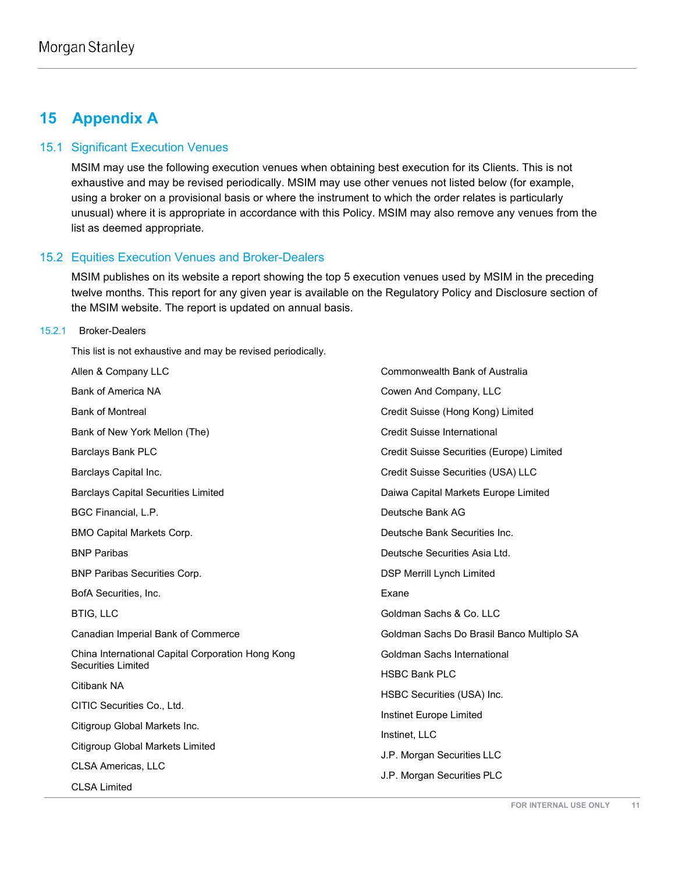# **15 Appendix A**

#### 15.1 Significant Execution Venues

MSIM may use the following execution venues when obtaining best execution for its Clients. This is not exhaustive and may be revised periodically. MSIM may use other venues not listed below (for example, using a broker on a provisional basis or where the instrument to which the order relates is particularly unusual) where it is appropriate in accordance with this Policy. MSIM may also remove any venues from the list as deemed appropriate.

#### 15.2 Equities Execution Venues and Broker-Dealers

MSIM publishes on its website a report showing the top 5 execution venues used by MSIM in the preceding twelve months. This report for any given year is available on the Regulatory Policy and Disclosure section of the MSIM website. The report is updated on annual basis.

#### 15.2.1 Broker-Dealers

This list is not exhaustive and may be revised periodically.

Allen & Company LLC Bank of America NA Bank of Montreal Bank of New York Mellon (The) Barclays Bank PLC Barclays Capital Inc. Barclays Capital Securities Limited BGC Financial, L.P. BMO Capital Markets Corp. BNP Paribas BNP Paribas Securities Corp. BofA Securities, Inc. BTIG, LLC Canadian Imperial Bank of Commerce China International Capital Corporation Hong Kong Securities Limited Citibank NA CITIC Securities Co., Ltd. Citigroup Global Markets Inc. Citigroup Global Markets Limited CLSA Americas, LLC CLSA Limited Exane

Commonwealth Bank of Australia Cowen And Company, LLC Credit Suisse (Hong Kong) Limited Credit Suisse International Credit Suisse Securities (Europe) Limited Credit Suisse Securities (USA) LLC Daiwa Capital Markets Europe Limited Deutsche Bank AG Deutsche Bank Securities Inc. Deutsche Securities Asia Ltd. DSP Merrill Lynch Limited Goldman Sachs & Co. LLC Goldman Sachs Do Brasil Banco Multiplo SA Goldman Sachs International HSBC Bank PLC HSBC Securities (USA) Inc. Instinet Europe Limited Instinet, LLC J.P. Morgan Securities LLC J.P. Morgan Securities PLC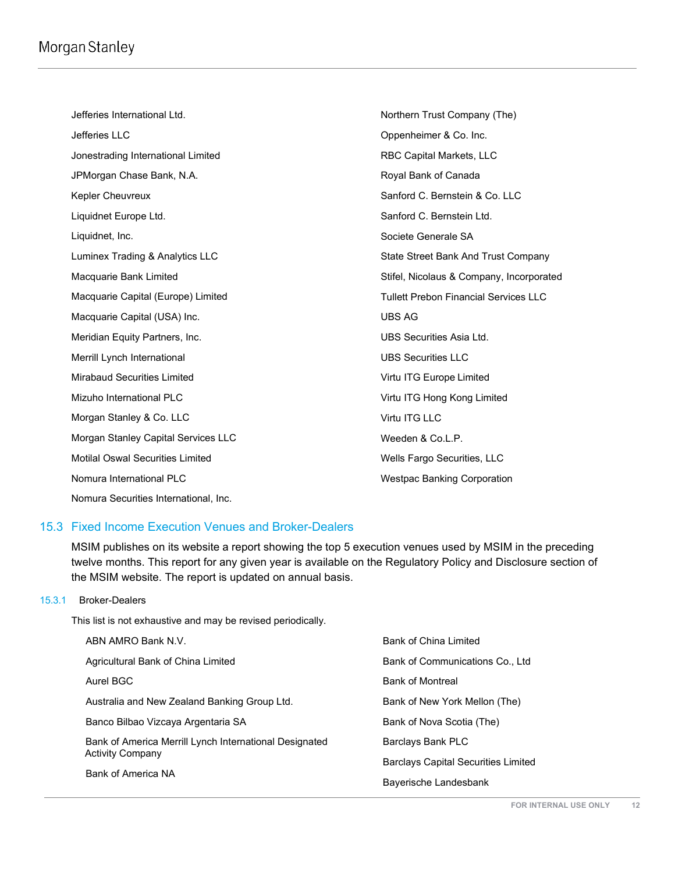# Morgan Stanley

Jefferies International Ltd. Jefferies LLC Jonestrading International Limited JPMorgan Chase Bank, N.A. Kepler Cheuvreux Liquidnet Europe Ltd. Liquidnet, Inc. Luminex Trading & Analytics LLC Macquarie Bank Limited Macquarie Capital (Europe) Limited Macquarie Capital (USA) Inc. Meridian Equity Partners, Inc. Merrill Lynch International Mirabaud Securities Limited Mizuho International PLC Morgan Stanley & Co. LLC Morgan Stanley Capital Services LLC Motilal Oswal Securities Limited Nomura International PLC Nomura Securities International, Inc. Northern Trust Company (The) Oppenheimer & Co. Inc. RBC Capital Markets, LLC Royal Bank of Canada Sanford C. Bernstein & Co. LLC Sanford C. Bernstein Ltd. Societe Generale SA State Street Bank And Trust Company Stifel, Nicolaus & Company, Incorporated Tullett Prebon Financial Services LLC UBS AG UBS Securities Asia Ltd. UBS Securities LLC Virtu ITG Europe Limited Virtu ITG Hong Kong Limited Virtu ITG LLC Weeden & Co.L.P. Wells Fargo Securities, LLC Westpac Banking Corporation

## 15.3 Fixed Income Execution Venues and Broker-Dealers

MSIM publishes on its website a report showing the top 5 execution venues used by MSIM in the preceding twelve months. This report for any given year is available on the Regulatory Policy and Disclosure section of the MSIM website. The report is updated on annual basis.

#### 15.3.1 Broker-Dealers

This list is not exhaustive and may be revised periodically.

| ABN AMRO Bank N.V.                                     | Bank of China Limited                      |
|--------------------------------------------------------|--------------------------------------------|
| Agricultural Bank of China Limited                     | Bank of Communications Co., Ltd            |
| Aurel BGC                                              | <b>Bank of Montreal</b>                    |
| Australia and New Zealand Banking Group Ltd.           | Bank of New York Mellon (The)              |
| Banco Bilbao Vizcaya Argentaria SA                     | Bank of Nova Scotia (The)                  |
| Bank of America Merrill Lynch International Designated | Barclays Bank PLC                          |
| <b>Activity Company</b>                                | <b>Barclays Capital Securities Limited</b> |
| Bank of America NA                                     | Bayerische Landesbank                      |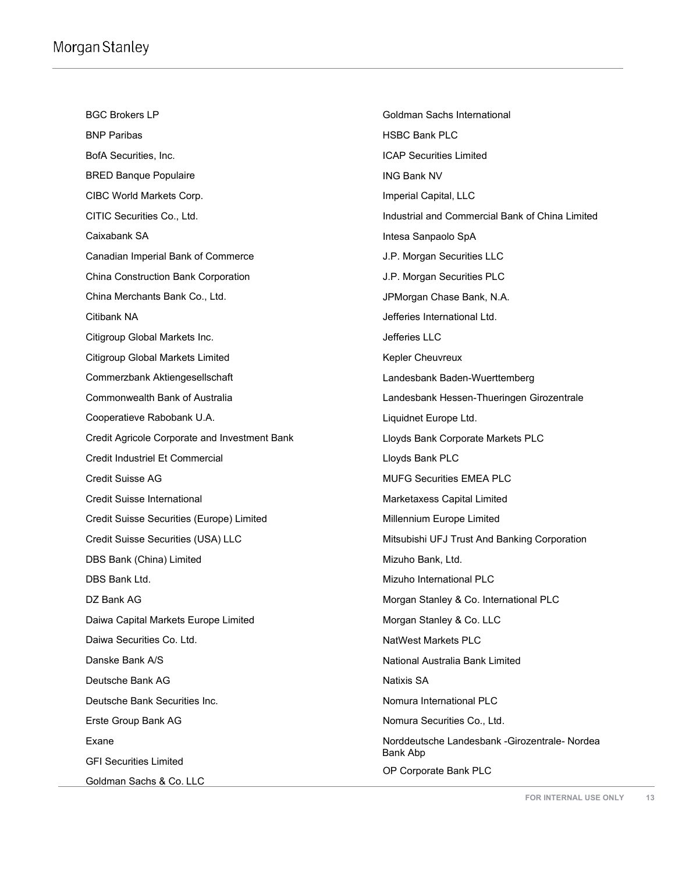BGC Brokers LP BNP Paribas BofA Securities, Inc. BRED Banque Populaire CIBC World Markets Corp. CITIC Securities Co., Ltd. Caixabank SA Canadian Imperial Bank of Commerce China Construction Bank Corporation China Merchants Bank Co., Ltd. Citibank NA Citigroup Global Markets Inc. Citigroup Global Markets Limited Commerzbank Aktiengesellschaft Commonwealth Bank of Australia Cooperatieve Rabobank U.A. Credit Agricole Corporate and Investment Bank Credit Industriel Et Commercial Credit Suisse AG Credit Suisse International Credit Suisse Securities (Europe) Limited Credit Suisse Securities (USA) LLC DBS Bank (China) Limited DBS Bank Ltd. DZ Bank AG Daiwa Capital Markets Europe Limited Daiwa Securities Co. Ltd. Danske Bank A/S Deutsche Bank AG Deutsche Bank Securities Inc. Erste Group Bank AG Exane GFI Securities Limited

Goldman Sachs International HSBC Bank PLC ICAP Securities Limited ING Bank NV Imperial Capital, LLC Industrial and Commercial Bank of China Limited Intesa Sanpaolo SpA J.P. Morgan Securities LLC J.P. Morgan Securities PLC JPMorgan Chase Bank, N.A. Jefferies International Ltd. Jefferies LLC Kepler Cheuvreux Landesbank Baden-Wuerttemberg Landesbank Hessen-Thueringen Girozentrale Liquidnet Europe Ltd. Lloyds Bank Corporate Markets PLC Lloyds Bank PLC MUFG Securities EMEA PLC Marketaxess Capital Limited Millennium Europe Limited Mitsubishi UFJ Trust And Banking Corporation Mizuho Bank, Ltd. Mizuho International PLC Morgan Stanley & Co. International PLC Morgan Stanley & Co. LLC NatWest Markets PLC National Australia Bank Limited Natixis SA Nomura International PLC Nomura Securities Co., Ltd. Norddeutsche Landesbank -Girozentrale- Nordea Bank Abp OP Corporate Bank PLC

Goldman Sachs & Co. LLC